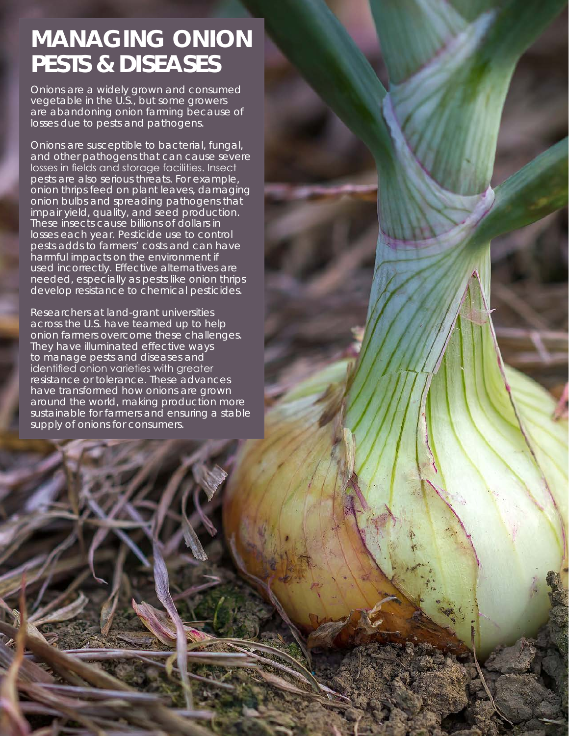# **MANAGING ONION PESTS & DISEASES**

Onions are a widely grown and consumed vegetable in the U.S., but some growers are abandoning onion farming because of losses due to pests and pathogens.

Onions are susceptible to bacterial, fungal, and other pathogens that can cause severe losses in fields and storage facilities. Insect pests are also serious threats. For example, onion thrips feed on plant leaves, damaging onion bulbs and spreading pathogens that impair yield, quality, and seed production. These insects cause billions of dollars in losses each year. Pesticide use to control pests adds to farmers' costs and can have harmful impacts on the environment if used incorrectly. Effective alternatives are needed, especially as pests like onion thrips develop resistance to chemical pesticides.

Researchers at land-grant universities across the U.S. have teamed up to help onion farmers overcome these challenges. They have illuminated effective ways to manage pests and diseases and identified onion varieties with greater resistance or tolerance. These advances have transformed how onions are grown around the world, making production more sustainable for farmers and ensuring a stable supply of onions for consumers.